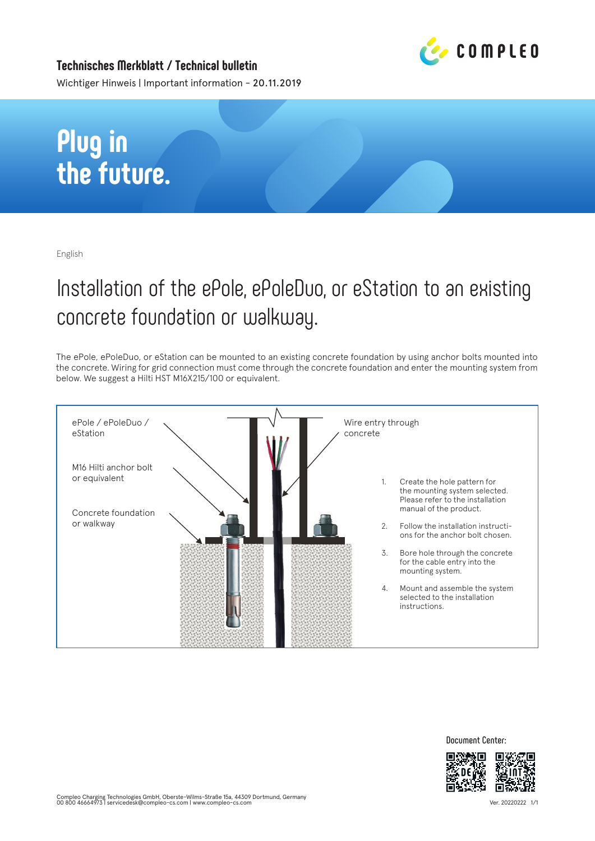

**Technisches Merkblatt / Technical bulletin** Wichtiger Hinweis | Important information - 20.11.2019

## **Plug in the future.**

English

## Installation of the ePole, ePoleDuo, or eStation to an existing concrete foundation or walkway.

The ePole, ePoleDuo, or eStation can be mounted to an existing concrete foundation by using anchor bolts mounted into the concrete. Wiring for grid connection must come through the concrete foundation and enter the mounting system from below. We suggest a Hilti HST M16X215/100 or equivalent.



**Document Center:**